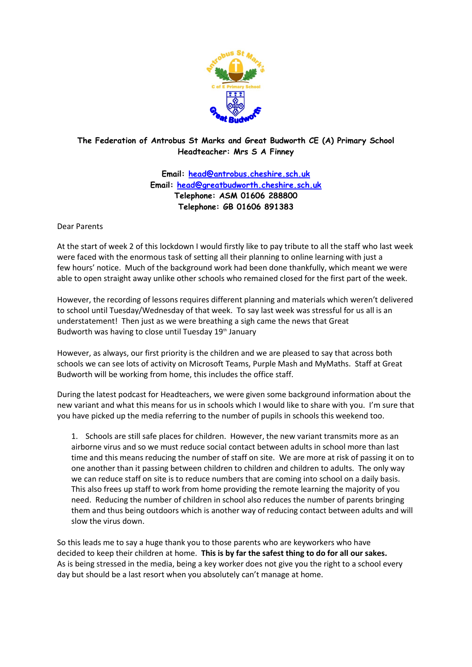

## **The Federation of Antrobus St Marks and Great Budworth CE (A) Primary School Headteacher: Mrs S A Finney**

**Email: [head@antrobus.cheshire.sch.uk](mailto:head@antrobus.cheshire.sch.uk) Email: [head@greatbudworth.cheshire.sch.uk](mailto:head@greatbudworth.cheshire.sch.uk) Telephone: ASM 01606 288800 Telephone: GB 01606 891383**

Dear Parents

At the start of week 2 of this lockdown I would firstly like to pay tribute to all the staff who last week were faced with the enormous task of setting all their planning to online learning with just a few hours' notice. Much of the background work had been done thankfully, which meant we were able to open straight away unlike other schools who remained closed for the first part of the week.

However, the recording of lessons requires different planning and materials which weren't delivered to school until Tuesday/Wednesday of that week. To say last week was stressful for us all is an understatement! Then just as we were breathing a sigh came the news that Great Budworth was having to close until Tuesday 19<sup>th</sup> January

However, as always, our first priority is the children and we are pleased to say that across both schools we can see lots of activity on Microsoft Teams, Purple Mash and MyMaths. Staff at Great Budworth will be working from home, this includes the office staff.

During the latest podcast for Headteachers, we were given some background information about the new variant and what this means for us in schools which I would like to share with you. I'm sure that you have picked up the media referring to the number of pupils in schools this weekend too.

1. Schools are still safe places for children. However, the new variant transmits more as an airborne virus and so we must reduce social contact between adults in school more than last time and this means reducing the number of staff on site. We are more at risk of passing it on to one another than it passing between children to children and children to adults. The only way we can reduce staff on site is to reduce numbers that are coming into school on a daily basis. This also frees up staff to work from home providing the remote learning the majority of you need. Reducing the number of children in school also reduces the number of parents bringing them and thus being outdoors which is another way of reducing contact between adults and will slow the virus down.

So this leads me to say a huge thank you to those parents who are keyworkers who have decided to keep their children at home. **This is by far the safest thing to do for all our sakes.** As is being stressed in the media, being a key worker does not give you the right to a school every day but should be a last resort when you absolutely can't manage at home.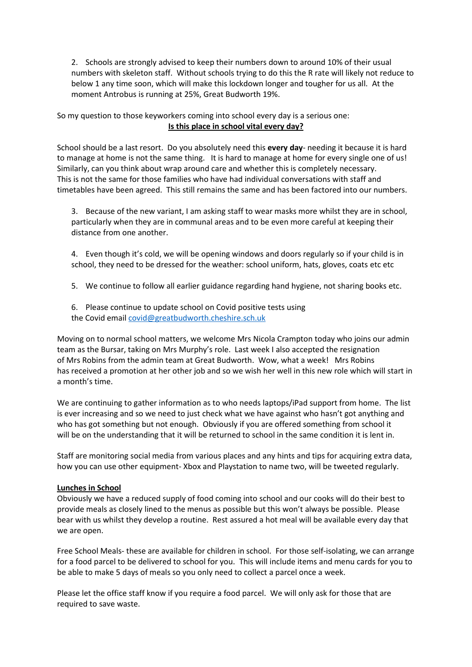2. Schools are strongly advised to keep their numbers down to around 10% of their usual numbers with skeleton staff. Without schools trying to do this the R rate will likely not reduce to below 1 any time soon, which will make this lockdown longer and tougher for us all. At the moment Antrobus is running at 25%, Great Budworth 19%.

So my question to those keyworkers coming into school every day is a serious one: **Is this place in school vital every day?**

School should be a last resort. Do you absolutely need this **every day**- needing it because it is hard to manage at home is not the same thing. It is hard to manage at home for every single one of us! Similarly, can you think about wrap around care and whether this is completely necessary. This is not the same for those families who have had individual conversations with staff and timetables have been agreed. This still remains the same and has been factored into our numbers.

3. Because of the new variant, I am asking staff to wear masks more whilst they are in school, particularly when they are in communal areas and to be even more careful at keeping their distance from one another.

4. Even though it's cold, we will be opening windows and doors regularly so if your child is in school, they need to be dressed for the weather: school uniform, hats, gloves, coats etc etc

5. We continue to follow all earlier guidance regarding hand hygiene, not sharing books etc.

6. Please continue to update school on Covid positive tests using the Covid email [covid@greatbudworth.cheshire.sch.uk](mailto:covid@greatbudworth.cheshire.sch.uk)

Moving on to normal school matters, we welcome Mrs Nicola Crampton today who joins our admin team as the Bursar, taking on Mrs Murphy's role. Last week I also accepted the resignation of Mrs Robins from the admin team at Great Budworth. Wow, what a week! Mrs Robins has received a promotion at her other job and so we wish her well in this new role which will start in a month's time.

We are continuing to gather information as to who needs laptops/iPad support from home. The list is ever increasing and so we need to just check what we have against who hasn't got anything and who has got something but not enough. Obviously if you are offered something from school it will be on the understanding that it will be returned to school in the same condition it is lent in.

Staff are monitoring social media from various places and any hints and tips for acquiring extra data, how you can use other equipment- Xbox and Playstation to name two, will be tweeted regularly.

## **Lunches in School**

Obviously we have a reduced supply of food coming into school and our cooks will do their best to provide meals as closely lined to the menus as possible but this won't always be possible. Please bear with us whilst they develop a routine. Rest assured a hot meal will be available every day that we are open.

Free School Meals- these are available for children in school. For those self-isolating, we can arrange for a food parcel to be delivered to school for you. This will include items and menu cards for you to be able to make 5 days of meals so you only need to collect a parcel once a week.

Please let the office staff know if you require a food parcel. We will only ask for those that are required to save waste.